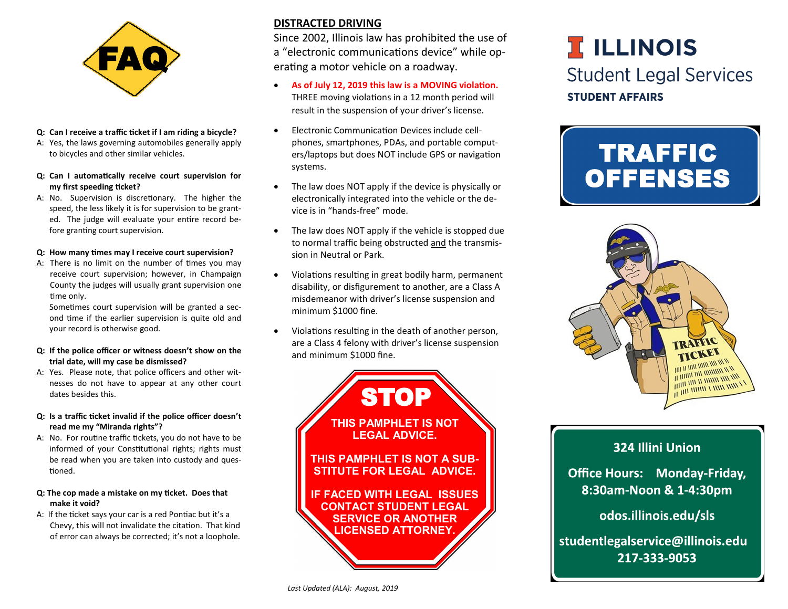

#### **Q: Can I receive a traffic ticket if I am riding a bicycle?**

- A: Yes, the laws governing automobiles generally apply to bicycles and other similar vehicles.
- **Q: Can I automatically receive court supervision for my first speeding ticket?**
- A: No. Supervision is discretionary. The higher the speed, the less likely it is for supervision to be granted. The judge will evaluate your entire record before granting court supervision.

#### **Q: How many times may I receive court supervision?**

A: There is no limit on the number of times you may receive court supervision; however, in Champaign County the judges will usually grant supervision one time only.

Sometimes court supervision will be granted a second time if the earlier supervision is quite old and your record is otherwise good.

#### **Q: If the police officer or witness doesn't show on the trial date, will my case be dismissed?**

- A: Yes. Please note, that police officers and other witnesses do not have to appear at any other court dates besides this.
- **Q: Is a traffic ticket invalid if the police officer doesn't read me my "Miranda rights"?**
- A: No. For routine traffic tickets, you do not have to be informed of your Constitutional rights; rights must be read when you are taken into custody and questioned.

#### **Q: The cop made a mistake on my ticket. Does that make it void?**

A: If the ticket says your car is a red Pontiac but it's a Chevy, this will not invalidate the citation. That kind of error can always be corrected; it's not a loophole.

### **DISTRACTED DRIVING**

Since 2002, Illinois law has prohibited the use of a "electronic communications device" while operating a motor vehicle on a roadway.

- **As of July 12, 2019 this law is a MOVING violation.**  THREE moving violations in a 12 month period will result in the suspension of your driver's license.
- Electronic Communication Devices include cellphones, smartphones, PDAs, and portable computers/laptops but does NOT include GPS or navigation systems.
- The law does NOT apply if the device is physically or electronically integrated into the vehicle or the device is in "hands-free" mode.
- The law does NOT apply if the vehicle is stopped due to normal traffic being obstructed and the transmission in Neutral or Park.
- Violations resulting in great bodily harm, permanent disability, or disfigurement to another, are a Class A misdemeanor with driver's license suspension and minimum \$1000 fine.
- Violations resulting in the death of another person, are a Class 4 felony with driver's license suspension and minimum \$1000 fine.



# **I ILLINOIS Student Legal Services STUDENT AFFAIRS**





## 324 Illini Union

**Office Hours: Monday-Friday,** 8:30am-Noon & 1-4:30pm

odos.illinois.edu/sls

studentlegalservice@illinois.edu 217-333-9053